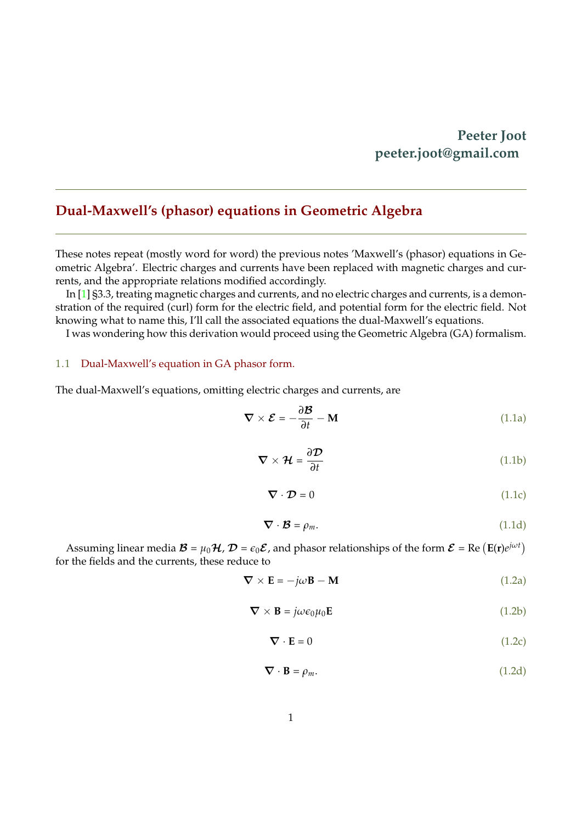## **Peeter Joot peeter.joot@gmail.com**

## <span id="page-0-0"></span>**Dual-Maxwell's (phasor) equations in Geometric Algebra**

These notes repeat (mostly word for word) the previous notes 'Maxwell's (phasor) equations in Geometric Algebra'. Electric charges and currents have been replaced with magnetic charges and currents, and the appropriate relations modified accordingly.

In [\[1\]](#page-6-0) §3.3, treating magnetic charges and currents, and no electric charges and currents, is a demonstration of the required (curl) form for the electric field, and potential form for the electric field. Not knowing what to name this, I'll call the associated equations the dual-Maxwell's equations.

I was wondering how this derivation would proceed using the Geometric Algebra (GA) formalism.

#### 1.1 Dual-Maxwell's equation in GA phasor form.

The dual-Maxwell's equations, omitting electric charges and currents, are

$$
\nabla \times \mathcal{E} = -\frac{\partial \mathcal{B}}{\partial t} - \mathbf{M}
$$
 (1.1a)

$$
\nabla \times \mathcal{H} = \frac{\partial \mathcal{D}}{\partial t}
$$
 (1.1b)

$$
\nabla \cdot \mathcal{D} = 0 \tag{1.1c}
$$

$$
\nabla \cdot \mathcal{B} = \rho_m. \tag{1.1d}
$$

Assuming linear media  $\mathcal{B} = \mu_0 \mathcal{H}$ ,  $\mathcal{D} = \epsilon_0 \mathcal{E}$ , and phasor relationships of the form  $\mathcal{E} = \text{Re}(\mathbf{E}(\mathbf{r})e^{j\omega t})$ for the fields and the currents, these reduce to

$$
\nabla \times \mathbf{E} = -j\omega \mathbf{B} - \mathbf{M}
$$
 (1.2a)

$$
\nabla \times \mathbf{B} = j\omega \epsilon_0 \mu_0 \mathbf{E}
$$
 (1.2b)

$$
\nabla \cdot \mathbf{E} = 0 \tag{1.2c}
$$

$$
\nabla \cdot \mathbf{B} = \rho_m. \tag{1.2d}
$$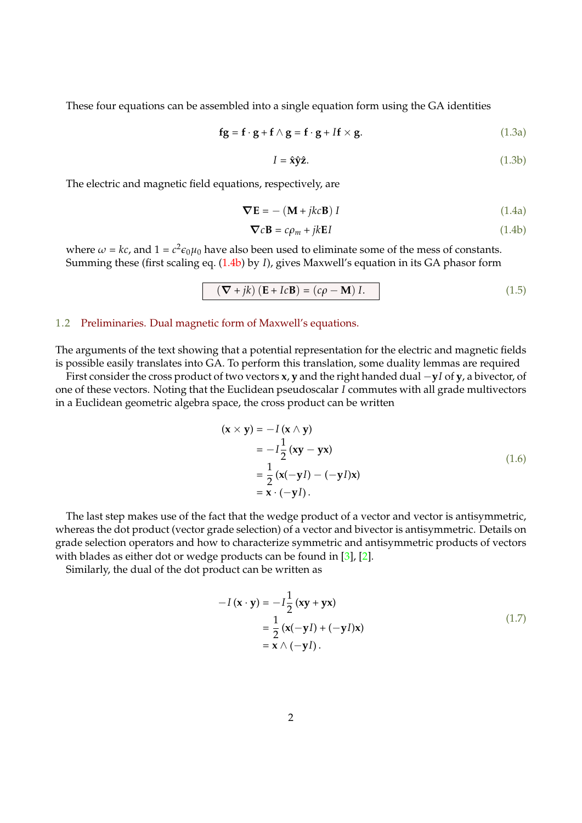These four equations can be assembled into a single equation form using the GA identities

$$
\mathbf{fg} = \mathbf{f} \cdot \mathbf{g} + \mathbf{f} \wedge \mathbf{g} = \mathbf{f} \cdot \mathbf{g} + I\mathbf{f} \times \mathbf{g}.\tag{1.3a}
$$

$$
I = \hat{\mathbf{x}} \hat{\mathbf{y}} \hat{\mathbf{z}}.\tag{1.3b}
$$

The electric and magnetic field equations, respectively, are

$$
\nabla \mathbf{E} = -(\mathbf{M} + jkc\mathbf{B}) I \tag{1.4a}
$$

<span id="page-1-1"></span><span id="page-1-0"></span>
$$
\nabla c \mathbf{B} = c\rho_m + jk \mathbf{E} I \tag{1.4b}
$$

where  $\omega = kc$ , and  $1 = c^2 \epsilon_0 \mu_0$  have also been used to eliminate some of the mess of constants. Summing these (first scaling eq. [\(1.4b\)](#page-1-0) by *I*), gives Maxwell's equation in its GA phasor form

$$
(\nabla + jk) (E + IcB) = (c\rho - M) I.
$$
 (1.5)

#### <span id="page-1-2"></span>1.2 Preliminaries. Dual magnetic form of Maxwell's equations.

The arguments of the text showing that a potential representation for the electric and magnetic fields is possible easily translates into GA. To perform this translation, some duality lemmas are required

First consider the cross product of two vectors **x**, **y** and the right handed dual −**y***I* of **y**, a bivector, of one of these vectors. Noting that the Euclidean pseudoscalar *I* commutes with all grade multivectors in a Euclidean geometric algebra space, the cross product can be written

$$
(\mathbf{x} \times \mathbf{y}) = -I(\mathbf{x} \wedge \mathbf{y})
$$
  
=  $-I\frac{1}{2}(\mathbf{x}\mathbf{y} - \mathbf{y}\mathbf{x})$   
=  $\frac{1}{2}(\mathbf{x}(-\mathbf{y}I) - (-\mathbf{y}I)\mathbf{x})$   
=  $\mathbf{x} \cdot (-\mathbf{y}I).$  (1.6)

The last step makes use of the fact that the wedge product of a vector and vector is antisymmetric, whereas the dot product (vector grade selection) of a vector and bivector is antisymmetric. Details on grade selection operators and how to characterize symmetric and antisymmetric products of vectors with blades as either dot or wedge products can be found in [\[3\]](#page-6-1), [\[2\]](#page-6-2).

Similarly, the dual of the dot product can be written as

$$
-I(\mathbf{x} \cdot \mathbf{y}) = -I\frac{1}{2}(\mathbf{xy} + \mathbf{y}\mathbf{x})
$$
  
=\frac{1}{2}(\mathbf{x}(-\mathbf{y}I) + (-\mathbf{y}I)\mathbf{x})  
=\mathbf{x} \wedge (-\mathbf{y}I). (1.7)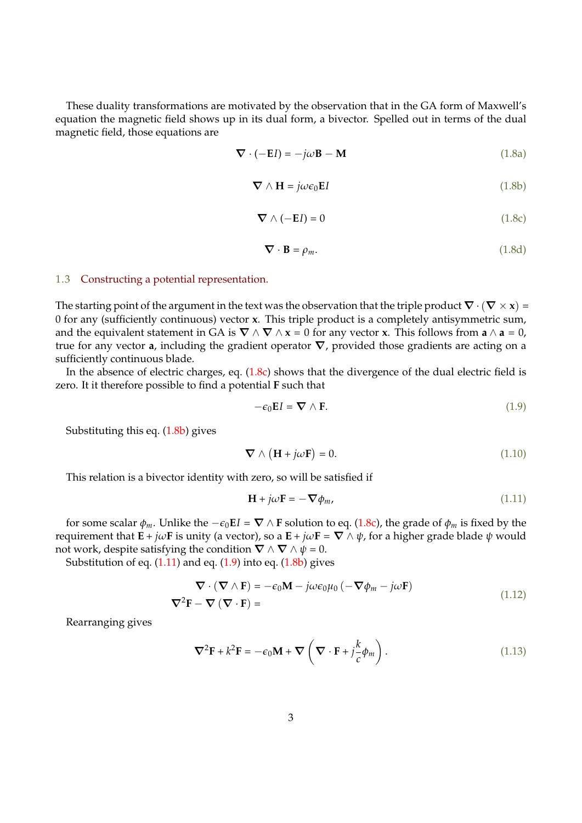<span id="page-2-0"></span>These duality transformations are motivated by the observation that in the GA form of Maxwell's equation the magnetic field shows up in its dual form, a bivector. Spelled out in terms of the dual magnetic field, those equations are

$$
\nabla \cdot (-EI) = -j\omega \mathbf{B} - \mathbf{M} \tag{1.8a}
$$

$$
\nabla \wedge \mathbf{H} = j\omega \epsilon_0 \mathbf{E} I \tag{1.8b}
$$

$$
\nabla \wedge (-EI) = 0 \tag{1.8c}
$$

$$
\nabla \cdot \mathbf{B} = \rho_m. \tag{1.8d}
$$

#### <span id="page-2-1"></span>1.3 Constructing a potential representation.

The starting point of the argument in the text was the observation that the triple product  $\nabla \cdot (\nabla \times \mathbf{x}) =$ 0 for any (sufficiently continuous) vector **x**. This triple product is a completely antisymmetric sum, and the equivalent statement in GA is  $\nabla \wedge \nabla \wedge \mathbf{x} = 0$  for any vector **x**. This follows from **a**  $\wedge$  **a** = 0, true for any vector **a**, including the gradient operator ∇, provided those gradients are acting on a sufficiently continuous blade.

In the absence of electric charges, eq.  $(1.8c)$  shows that the divergence of the dual electric field is zero. It it therefore possible to find a potential **F** such that

$$
-\epsilon_0 \mathbf{E} I = \nabla \wedge \mathbf{F}.\tag{1.9}
$$

Substituting this eq. [\(1.8b\)](#page-2-0) gives

$$
\nabla \wedge (\mathbf{H} + j\omega \mathbf{F}) = 0. \tag{1.10}
$$

This relation is a bivector identity with zero, so will be satisfied if

$$
\mathbf{H} + j\omega \mathbf{F} = -\nabla \phi_m, \tag{1.11}
$$

for some scalar  $\phi_m$ . Unlike the  $-\epsilon_0 E I = \nabla \wedge \mathbf{F}$  solution to eq. [\(1.8c\)](#page-2-0), the grade of  $\phi_m$  is fixed by the requirement that  $\mathbf{E} + j\omega\mathbf{F}$  is unity (a vector), so a  $\mathbf{E} + j\omega\mathbf{F} = \nabla \wedge \psi$ , for a higher grade blade  $\psi$  would not work, despite satisfying the condition  $\nabla \wedge \nabla \wedge \psi = 0$ .

Substitution of eq.  $(1.11)$  and eq.  $(1.9)$  into eq.  $(1.8b)$  gives

<span id="page-2-2"></span>
$$
\nabla \cdot (\nabla \wedge \mathbf{F}) = -\epsilon_0 \mathbf{M} - j\omega \epsilon_0 \mu_0 (-\nabla \phi_m - j\omega \mathbf{F})
$$
  

$$
\nabla^2 \mathbf{F} - \nabla (\nabla \cdot \mathbf{F}) =
$$
 (1.12)

Rearranging gives

$$
\nabla^2 \mathbf{F} + k^2 \mathbf{F} = -\epsilon_0 \mathbf{M} + \nabla \left( \nabla \cdot \mathbf{F} + j \frac{k}{c} \phi_m \right). \tag{1.13}
$$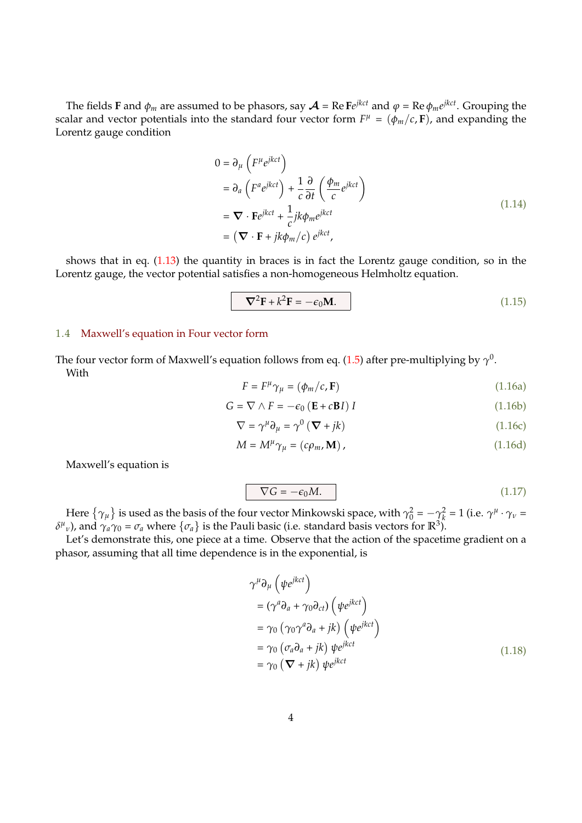The fields **F** and  $\phi_m$  are assumed to be phasors, say  $\mathcal{A}$  = Re F $e^{j k c t}$  and  $\varphi$  = Re  $\phi_m e^{j k c t}$ . Grouping the scalar and vector potentials into the standard four vector form  $F^{\mu} = (\phi_m/c, \mathbf{F})$ , and expanding the Lorentz gauge condition

$$
0 = \partial_{\mu} \left( F^{\mu} e^{j k c t} \right)
$$
  
=  $\partial_{a} \left( F^{a} e^{j k c t} \right) + \frac{1}{c} \frac{\partial}{\partial t} \left( \frac{\phi_{m}}{c} e^{j k c t} \right)$   
=  $\nabla \cdot F e^{j k c t} + \frac{1}{c} j k \phi_{m} e^{j k c t}$   
=  $(\nabla \cdot F + j k \phi_{m}/c) e^{j k c t}$ , (1.14)

shows that in eq. [\(1.13\)](#page-2-2) the quantity in braces is in fact the Lorentz gauge condition, so in the Lorentz gauge, the vector potential satisfies a non-homogeneous Helmholtz equation.

<span id="page-3-2"></span>
$$
\nabla^2 \mathbf{F} + k^2 \mathbf{F} = -\epsilon_0 \mathbf{M}.
$$
 (1.15)

#### 1.4 Maxwell's equation in Four vector form

The four vector form of Maxwell's equation follows from eq. [\(1.5\)](#page-1-1) after pre-multiplying by  $\gamma^{0}.$ With

$$
F = F^{\mu} \gamma_{\mu} = (\phi_m/c, \mathbf{F}) \tag{1.16a}
$$

$$
G = \nabla \wedge F = -\epsilon_0 \left( \mathbf{E} + c \mathbf{B} I \right) I \tag{1.16b}
$$

<span id="page-3-0"></span>
$$
\nabla = \gamma^{\mu} \partial_{\mu} = \gamma^{0} \left( \nabla + jk \right)
$$
 (1.16c)

$$
M = M^{\mu} \gamma_{\mu} = (c \rho_m, \mathbf{M}) , \qquad (1.16d)
$$

Maxwell's equation is

<span id="page-3-1"></span>
$$
\nabla G = -\epsilon_0 M. \tag{1.17}
$$

Here  $\{\gamma_\mu\}$  is used as the basis of the four vector Minkowski space, with  $\gamma_0^2 = -\gamma_k^2 = 1$  (i.e.  $\gamma^\mu \cdot \gamma_\nu =$ *δ*<sup>μ</sup><sub>ν</sub>), and  $γ_aγ_0 = σ_a$  where  ${σ_a}$  is the Pauli basic (i.e. standard basis vectors for  $\mathbb{R}^3$ ).

Let's demonstrate this, one piece at a time. Observe that the action of the spacetime gradient on a phasor, assuming that all time dependence is in the exponential, is

$$
\gamma^{\mu} \partial_{\mu} \left( \psi e^{j k c t} \right)
$$
  
=  $(\gamma^a \partial_a + \gamma_0 \partial_{c t}) \left( \psi e^{j k c t} \right)$   
=  $\gamma_0 \left( \gamma_0 \gamma^a \partial_a + j k \right) \left( \psi e^{j k c t} \right)$   
=  $\gamma_0 \left( \sigma_a \partial_a + j k \right) \psi e^{j k c t}$   
=  $\gamma_0 \left( \nabla + j k \right) \psi e^{j k c t}$  (1.18)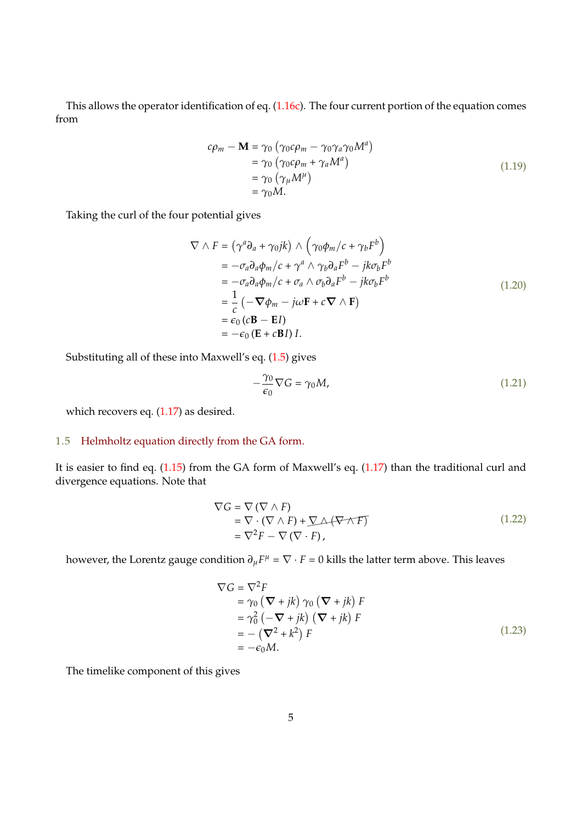This allows the operator identification of eq. [\(1.16c\)](#page-3-0). The four current portion of the equation comes from

$$
c\rho_m - \mathbf{M} = \gamma_0 \left( \gamma_0 c \rho_m - \gamma_0 \gamma_a \gamma_0 M^a \right)
$$
  
=  $\gamma_0 \left( \gamma_0 c \rho_m + \gamma_a M^a \right)$   
=  $\gamma_0 \left( \gamma_\mu M^\mu \right)$   
=  $\gamma_0 M$ . (1.19)

Taking the curl of the four potential gives

$$
\nabla \wedge F = (\gamma^a \partial_a + \gamma_0 jk) \wedge (\gamma_0 \phi_m / c + \gamma_b F^b)
$$
  
=  $-\sigma_a \partial_a \phi_m / c + \gamma^a \wedge \gamma_b \partial_a F^b - j k \sigma_b F^b$   
=  $-\sigma_a \partial_a \phi_m / c + \sigma_a \wedge \sigma_b \partial_a F^b - j k \sigma_b F^b$   
=  $\frac{1}{c} (-\nabla \phi_m - j \omega F + c \nabla \wedge F)$   
=  $\epsilon_0 (c \mathbf{B} - \mathbf{E} I)$   
=  $-\epsilon_0 (\mathbf{E} + c \mathbf{B} I) I.$  (1.20)

Substituting all of these into Maxwell's eq. [\(1.5\)](#page-1-1) gives

$$
-\frac{\gamma_0}{\epsilon_0}\nabla G = \gamma_0 M,\tag{1.21}
$$

which recovers eq. [\(1.17\)](#page-3-1) as desired.

### 1.5 Helmholtz equation directly from the GA form.

It is easier to find eq. [\(1.15\)](#page-3-2) from the GA form of Maxwell's eq. [\(1.17\)](#page-3-1) than the traditional curl and divergence equations. Note that

$$
\nabla G = \nabla (\nabla \wedge F)
$$
  
=  $\nabla \cdot (\nabla \wedge F) + \nabla \Delta (\nabla \wedge F)$   
=  $\nabla^2 F - \nabla (\nabla \cdot F)$ , (1.22)

however, the Lorentz gauge condition  $\partial_\mu F^\mu = \nabla \cdot F = 0$  kills the latter term above. This leaves

$$
\nabla G = \nabla^2 F
$$
  
=  $\gamma_0 (\nabla + jk) \gamma_0 (\nabla + jk) F$   
=  $\gamma_0^2 (-\nabla + jk) (\nabla + jk) F$   
=  $-(\nabla^2 + k^2) F$   
=  $-\epsilon_0 M$ . (1.23)

The timelike component of this gives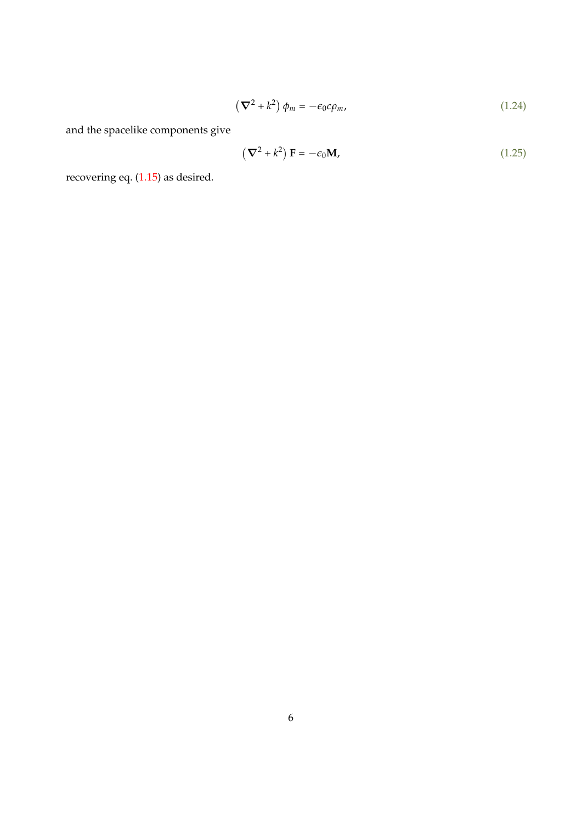$$
\left(\nabla^2 + k^2\right)\phi_m = -\epsilon_0 c \rho_m,\tag{1.24}
$$

and the spacelike components give

$$
\left(\nabla^2 + k^2\right) \mathbf{F} = -\epsilon_0 \mathbf{M},\tag{1.25}
$$

recovering eq. [\(1.15\)](#page-3-2) as desired.